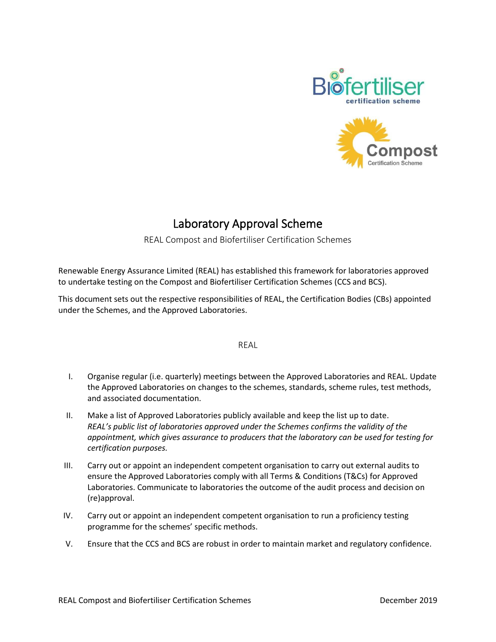



# Laboratory Approval Scheme

#### REAL Compost and Biofertiliser Certification Schemes

Renewable Energy Assurance Limited (REAL) has established this framework for laboratories approved to undertake testing on the Compost and Biofertiliser Certification Schemes (CCS and BCS).

This document sets out the respective responsibilities of REAL, the Certification Bodies (CBs) appointed under the Schemes, and the Approved Laboratories.

#### REAL

- I. Organise regular (i.e. quarterly) meetings between the Approved Laboratories and REAL. Update the Approved Laboratories on changes to the schemes, standards, scheme rules, test methods, and associated documentation.
- II. Make a list of Approved Laboratories publicly available and keep the list up to date. *REAL's public list of laboratories approved under the Schemes confirms the validity of the appointment, which gives assurance to producers that the laboratory can be used for testing for certification purposes.*
- III. Carry out or appoint an independent competent organisation to carry out external audits to ensure the Approved Laboratories comply with all Terms & Conditions (T&Cs) for Approved Laboratories. Communicate to laboratories the outcome of the audit process and decision on (re)approval.
- IV. Carry out or appoint an independent competent organisation to run a proficiency testing programme for the schemes' specific methods.
- V. Ensure that the CCS and BCS are robust in order to maintain market and regulatory confidence.